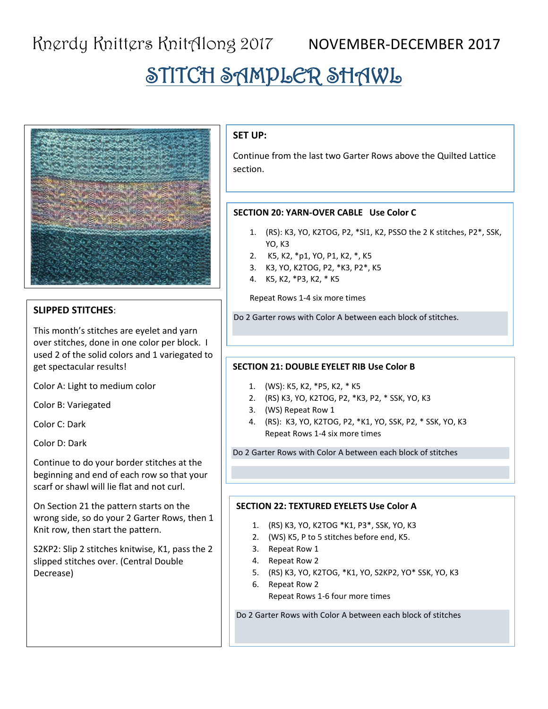# STITCH SAMPLER SHAWL



## **SLIPPED STITCHES**:

This month's stitches are eyelet and yarn over stitches, done in one color per block. I used 2 of the solid colors and 1 variegated to get spectacular results!

Color A: Light to medium color

Color B: Variegated

Color C: Dark

Color D: Dark

Continue to do your border stitches at the beginning and end of each row so that your scarf or shawl will lie flat and not curl.

On Section 21 the pattern starts on the wrong side, so do your 2 Garter Rows, then 1 Knit row, then start the pattern.

S2KP2: Slip 2 stitches knitwise, K1, pass the 2 slipped stitches over. (Central Double Decrease)

### **SET UP:**

Continue from the last two Garter Rows above the Quilted Lattice section.

#### **SECTION 20: YARN-OVER CABLE Use Color C**

- 1. (RS): K3, YO, K2TOG, P2, \*Sl1, K2, PSSO the 2 K stitches, P2\*, SSK, YO, K3
- 2. K5, K2, \*p1, YO, P1, K2, \*, K5
- 3. K3, YO, K2TOG, P2, \*K3, P2\*, K5
- 4. K5, K2, \*P3, K2, \* K5

Repeat Rows 1-4 six more times

Do 2 Garter rows with Color A between each block of stitches.

#### **SECTION 21: DOUBLE EYELET RIB Use Color B**

- 1. (WS): K5, K2, \*P5, K2, \* K5
- 2. (RS) K3, YO, K2TOG, P2, \*K3, P2, \* SSK, YO, K3
- 3. (WS) Repeat Row 1
- 4. (RS): K3, YO, K2TOG, P2, \*K1, YO, SSK, P2, \* SSK, YO, K3 Repeat Rows 1-4 six more times

Do 2 Garter Rows with Color A between each block of stitches

#### **SECTION 22: TEXTURED EYELETS Use Color A**

- 1. (RS) K3, YO, K2TOG \*K1, P3\*, SSK, YO, K3
- 2. (WS) K5, P to 5 stitches before end, K5.
- 3. Repeat Row 1
- 4. Repeat Row 2
- 5. (RS) K3, YO, K2TOG, \*K1, YO, S2KP2, YO\* SSK, YO, K3
- 6. Repeat Row 2 Repeat Rows 1-6 four more times

Do 2 Garter Rows with Color A between each block of stitches